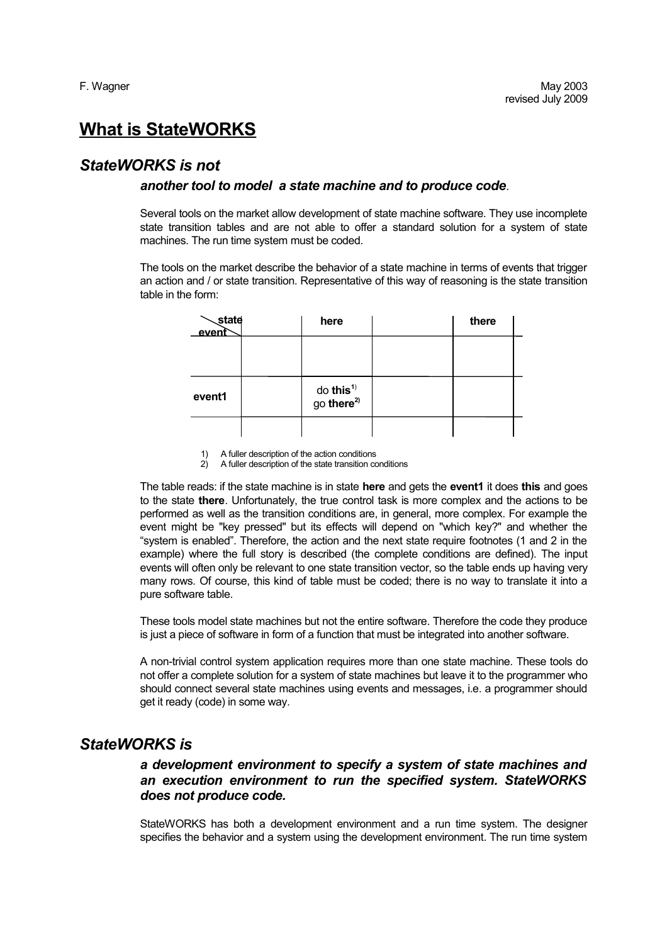# **What is StateWORKS**

## *StateWORKS is not*

#### *another tool to model a state machine and to produce code*.

Several tools on the market allow development of state machine software. They use incomplete state transition tables and are not able to offer a standard solution for a system of state machines. The run time system must be coded.

The tools on the market describe the behavior of a state machine in terms of events that trigger an action and / or state transition. Representative of this way of reasoning is the state transition table in the form:

| <b>state</b><br>event | here                                            | there |  |
|-----------------------|-------------------------------------------------|-------|--|
|                       |                                                 |       |  |
|                       |                                                 |       |  |
| event1                | do this <sup>1)</sup><br>go there <sup>2)</sup> |       |  |
|                       |                                                 |       |  |

<sup>1)</sup> A fuller description of the action conditions

2) A fuller description of the state transition conditions

The table reads: if the state machine is in state **here** and gets the **event1** it does **this** and goes to the state **there**. Unfortunately, the true control task is more complex and the actions to be performed as well as the transition conditions are, in general, more complex. For example the event might be "key pressed" but its effects will depend on "which key?" and whether the "system is enabled". Therefore, the action and the next state require footnotes (1 and 2 in the example) where the full story is described (the complete conditions are defined). The input events will often only be relevant to one state transition vector, so the table ends up having very many rows. Of course, this kind of table must be coded; there is no way to translate it into a pure software table.

These tools model state machines but not the entire software. Therefore the code they produce is just a piece of software in form of a function that must be integrated into another software.

A non-trivial control system application requires more than one state machine. These tools do not offer a complete solution for a system of state machines but leave it to the programmer who should connect several state machines using events and messages, i.e. a programmer should get it ready (code) in some way.

## *StateWORKS is*

## *a development environment to specify a system of state machines and an execution environment to run the specified system. StateWORKS does not produce code.*

StateWORKS has both a development environment and a run time system. The designer specifies the behavior and a system using the development environment. The run time system